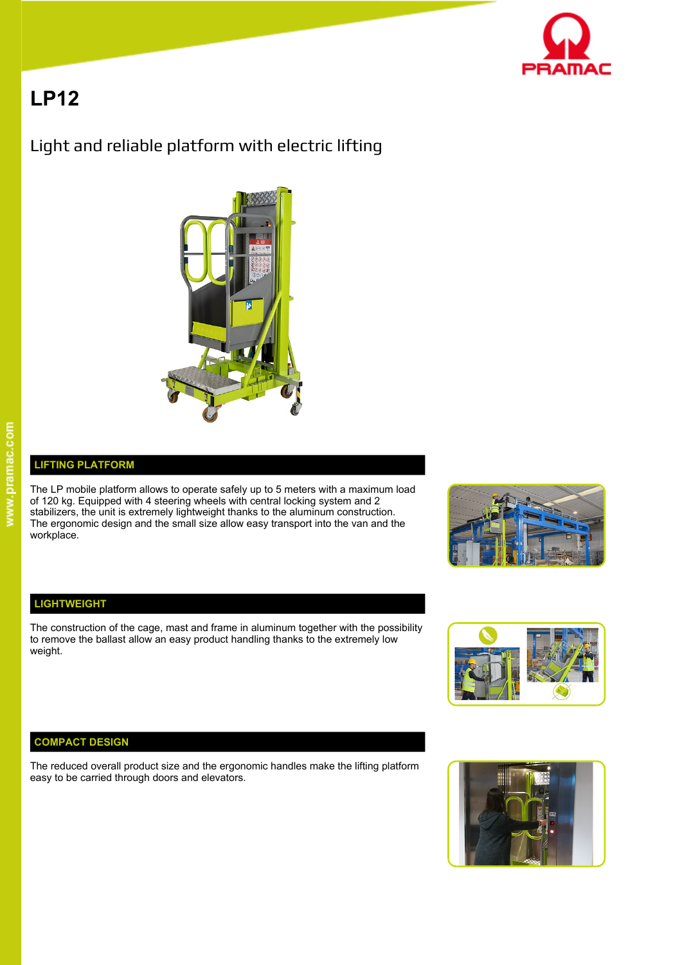

# **LP12**

## Light and reliable platform with electric lifting



### **LIFTING PLATFORM**

The LP mobile platform allows to operate safely up to 5 meters with a maximum load of 120 kg. Equipped with 4 steering wheels with central locking system and 2 stabilizers, the unit is extremely lightweight thanks to the aluminum construction. The ergonomic design and the small size allow easy transport into the van and the workplace.



### **LIGHTWEIGHT**

The construction of the cage, mast and frame in aluminum together with the possibility to remove the ballast allow an easy product handling thanks to the extremely low weight.



### **COMPACT DESIGN**

The reduced overall product size and the ergonomic handles make the lifting platform easy to be carried through doors and elevators.

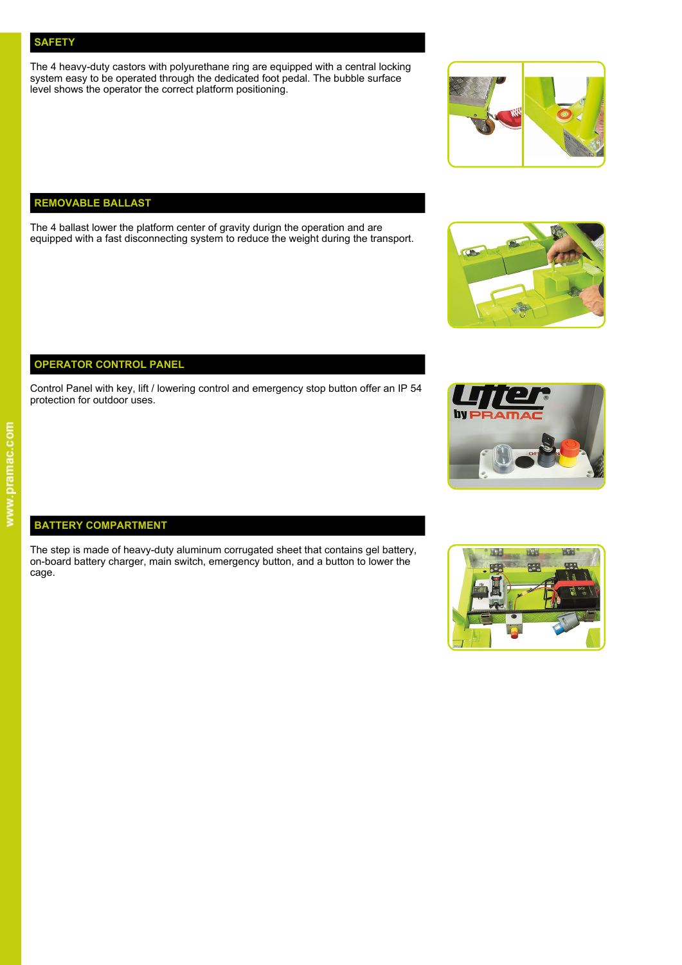### **SAFETY**

The 4 heavy-duty castors with polyurethane ring are equipped with a central locking system easy to be operated through the dedicated foot pedal. The bubble surface level shows the operator the correct platform positioning.



### **REMOVABLE BALLAST**

The 4 ballast lower the platform center of gravity durign the operation and are equipped with a fast disconnecting system to reduce the weight during the transport.



### **OPERATOR CONTROL PANEL**

Control Panel with key, lift / lowering control and emergency stop button offer an IP 54 protection for outdoor uses.



### **BATTERY COMPARTMENT**

The step is made of heavy-duty aluminum corrugated sheet that contains gel battery, The step is made of heavy-duty aluminum corrugated sheet that contains gel battery,<br>on-board battery charger, main switch, emergency button, and a button to lower the cage.



# www.pramac.com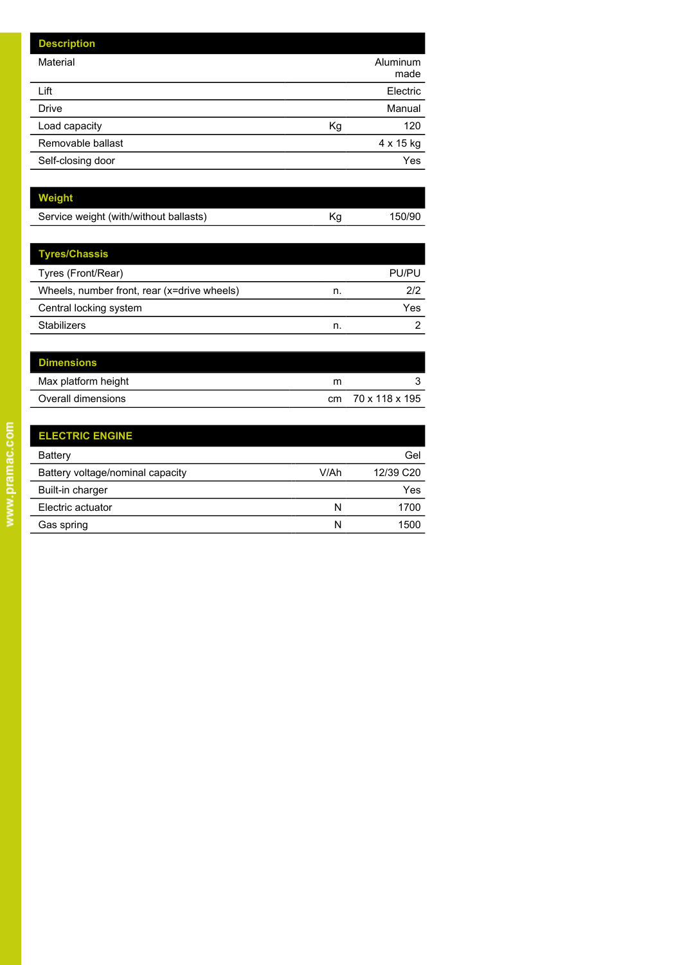| <b>Description</b> |    |                  |
|--------------------|----|------------------|
| Material           |    | Aluminum<br>made |
| Lift               |    | Electric         |
| <b>Drive</b>       |    | Manual           |
| Load capacity      | Kg | 120              |
| Removable ballast  |    | 4 x 15 kg        |
| Self-closing door  |    | Yes              |

| Weight                                 |    |        |
|----------------------------------------|----|--------|
| Service weight (with/without ballasts) | Κq | 150/90 |
|                                        |    |        |

| <b>Tyres/Chassis</b>                        |    |       |
|---------------------------------------------|----|-------|
| Tyres (Front/Rear)                          |    | PU/PU |
| Wheels, number front, rear (x=drive wheels) | n. | 2/2   |
| Central locking system                      |    | Yes   |
| <b>Stabilizers</b>                          | n. | ႒     |

| <b>Dimensions</b>   |   |                   |
|---------------------|---|-------------------|
| Max platform height | m |                   |
| Overall dimensions  |   | cm 70 x 118 x 195 |

| <b>ELECTRIC ENGINE</b>           |      |           |
|----------------------------------|------|-----------|
| Battery                          |      | Gel       |
| Battery voltage/nominal capacity | V/Ah | 12/39 C20 |
| Built-in charger                 |      | Yes       |
| Electric actuator                | N    | 1700      |
| Gas spring                       | N    | 1500      |

l,